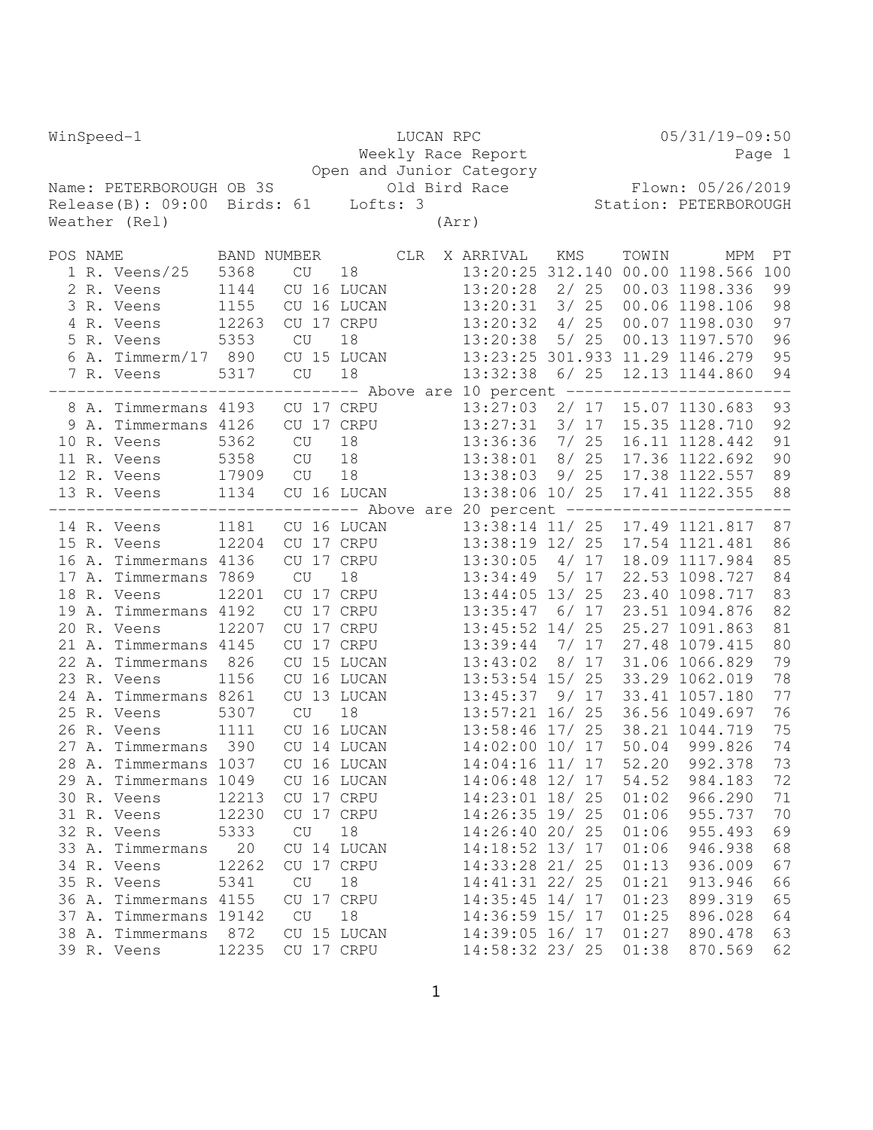| WinSpeed-1                                                                      | LUCAN RPC                                                                        |                          |     |       | $05/31/19-09:50$                   |       |        |                |                                 |          |
|---------------------------------------------------------------------------------|----------------------------------------------------------------------------------|--------------------------|-----|-------|------------------------------------|-------|--------|----------------|---------------------------------|----------|
|                                                                                 |                                                                                  |                          |     |       | Weekly Race Report                 |       |        |                |                                 | Page 1   |
|                                                                                 |                                                                                  |                          |     |       | Open and Junior Category           |       |        |                |                                 |          |
| Name: PETERBOROUGH OB 3S                                                        |                                                                                  |                          |     |       |                                    |       |        |                | Old Bird Race Flown: 05/26/2019 |          |
| Release(B): 09:00 Birds: 61 Lofts: 3                                            |                                                                                  |                          |     |       |                                    |       |        |                | Station: PETERBOROUGH           |          |
| Weather (Rel)                                                                   |                                                                                  |                          |     | (Arr) |                                    |       |        |                |                                 |          |
| POS NAME                                                                        | BAND NUMBER                                                                      |                          | CLR |       | X ARRIVAL                          | KMS   |        | TOWIN          | MPM                             | PT       |
| 1 R. Veens/25                                                                   | 5368<br>CU                                                                       | 18                       |     |       |                                    |       |        |                | 13:20:25 312.140 00.00 1198.566 | 100      |
| 2 R. Veens                                                                      | 1144                                                                             | CU 16 LUCAN              |     |       | $13:20:28$ 2/ 25                   |       |        |                | 00.03 1198.336                  | 99       |
| 3 R. Veens                                                                      | 1155                                                                             | CU 16 LUCAN              |     |       | 13:20:31                           |       | $3/25$ |                | 00.06 1198.106                  | 98       |
| 4 R. Veens                                                                      | 12263                                                                            | CU 17 CRPU               |     |       | 13:20:32                           |       | 4/25   |                | 00.07 1198.030                  | 97       |
| 5 R. Veens                                                                      | 5353<br><b>CU</b>                                                                | 18                       |     |       | 13:20:38                           |       | 5/25   |                | 00.13 1197.570                  | 96       |
| 6 A. Timmerm/17 890                                                             |                                                                                  | CU 15 LUCAN              |     |       |                                    |       |        |                | 13:23:25 301.933 11.29 1146.279 | 95       |
| 7 R. Veens                                                                      | 5317<br>$\mathrm{CU}% _{H}=\mathrm{GL}_{2}\times\mathbb{C}$                      | 18                       |     |       | 13:32:38                           |       | $6/25$ |                | 12.13 1144.860                  | 94       |
|                                                                                 | ------------------------            Above are 10 percent ----------------------- |                          |     |       |                                    |       |        |                |                                 |          |
| 8 A. Timmermans 4193                                                            |                                                                                  | CU 17 CRPU               |     |       | 13:27:03                           |       |        |                | 2/ 17 15.07 1130.683            | 93       |
| 9 A. Timmermans 4126                                                            |                                                                                  | CU 17 CRPU               |     |       | $13:27:31$ $3/17$                  |       |        |                | 15.35 1128.710                  | 92       |
| 10 R. Veens                                                                     | 5362<br><b>CU</b>                                                                | 18                       |     |       | $13:36:36$ 7/ 25                   |       |        |                | 16.11 1128.442                  | 91       |
| 11 R. Veens                                                                     | 5358<br><b>CU</b>                                                                | 18                       |     |       | $13:38:01$ 8/25                    |       |        |                | 17.36 1122.692                  | 90       |
| 12 R. Veens                                                                     | 17909 CU                                                                         | 18                       |     |       | 13:38:03                           |       | 9/25   |                | 17.38 1122.557                  | 89       |
| 13 R. Veens                                                                     | 1134                                                                             | CU 16 LUCAN              |     |       | 13:38:06 10/ 25                    |       |        |                | 17.41 1122.355                  | 88       |
| -------------------------------- Above are 20 percent ------------------------- |                                                                                  |                          |     |       |                                    |       |        |                |                                 |          |
| 14 R. Veens                                                                     | 1181                                                                             | CU 16 LUCAN              |     |       |                                    |       |        |                | 13:38:14 11/ 25 17.49 1121.817  | 87       |
| 15 R. Veens                                                                     | 12204                                                                            | CU 17 CRPU               |     |       | 13:38:19 12/ 25                    |       |        |                | 17.54 1121.481                  | 86       |
| 16 A. Timmermans 4136                                                           |                                                                                  | CU 17 CRPU               |     |       | $13:30:05$ 4/ 17                   |       |        |                | 18.09 1117.984                  | 85       |
| 17 A. Timmermans 7869                                                           | <b>CU</b>                                                                        | 18                       |     |       | 13:34:49                           |       | 5/ 17  |                | 22.53 1098.727                  | 84       |
| 18 R. Veens                                                                     | 12201                                                                            | CU 17 CRPU               |     |       | $13:44:05$ 13/ 25                  |       |        |                | 23.40 1098.717                  | 83       |
| 19 A. Timmermans 4192                                                           |                                                                                  | CU 17 CRPU               |     |       | $13:35:47$ 6/ 17                   |       |        |                | 23.51 1094.876                  | 82       |
| 20 R. Veens                                                                     | 12207                                                                            | CU 17 CRPU               |     |       | $13:45:52$ $14/25$                 |       |        |                | 25.27 1091.863                  | 81       |
| 21 A. Timmermans 4145                                                           |                                                                                  | CU 17 CRPU               |     |       | $13:39:44$ 7/ 17                   |       |        |                | 27.48 1079.415                  | 80       |
| 22 A. Timmermans                                                                | 826                                                                              | CU 15 LUCAN              |     |       | 13:43:02                           |       | 8/ 17  |                | 31.06 1066.829                  | 79       |
| 23 R. Veens                                                                     | 1156                                                                             | CU 16 LUCAN              |     |       | $13:53:54$ 15/ 25                  |       |        |                | 33.29 1062.019                  | 78       |
| 24 A. Timmermans 8261                                                           |                                                                                  | CU 13 LUCAN              |     |       | 13:45:37                           |       | 9/17   |                | 33.41 1057.180                  | 77       |
| 25 R. Veens                                                                     | 5307<br><b>CU</b>                                                                | 18                       |     |       | $13:57:21$ $16/25$                 |       |        |                | 36.56 1049.697                  | 76       |
| 26 R. Veens                                                                     | 1111                                                                             | CU 16 LUCAN              |     |       | 13:58:46 17/ 25                    |       |        |                | 38.21 1044.719                  | 75       |
| 27 A. Timmermans 390                                                            |                                                                                  | CU 14 LUCAN              |     |       | 14:02:00 10/ 17                    |       |        |                | 50.04 999.826                   | 74       |
| 28 A. Timmermans 1037                                                           |                                                                                  | CU 16 LUCAN              |     |       | 14:04:16 11/ 17                    |       |        | 52.20          | 992.378                         | 73       |
| 29 A. Timmermans 1049                                                           |                                                                                  | CU 16 LUCAN              |     |       | 14:06:48 12/ 17<br>14:23:01 18/ 25 |       |        | 54.52          | 984.183<br>966.290              | 72<br>71 |
| 30 R. Veens<br>31 R. Veens                                                      | 12213<br>12230                                                                   | CU 17 CRPU<br>CU 17 CRPU |     |       | 14:26:35 19/ 25                    |       |        | 01:02<br>01:06 | 955.737                         | 70       |
| 32 R. Veens                                                                     | 5333<br>CU                                                                       | 18                       |     |       | 14:26:40 20/ 25                    |       |        | 01:06          | 955.493                         | 69       |
| 33 A. Timmermans                                                                | 20                                                                               | CU 14 LUCAN              |     |       | 14:18:52 13/ 17                    |       |        | 01:06          | 946.938                         | 68       |
| 34 R. Veens                                                                     | 12262                                                                            | CU 17 CRPU               |     |       | 14:33:28 21/ 25                    |       |        | 01:13          | 936.009                         | 67       |
| 35 R. Veens                                                                     | $\mathrm{CU}% _{T}=\mathrm{CL}_{T}\times\mathrm{CL}_{T}$<br>5341                 | 18                       |     |       | 14:41:31 22/ 25                    |       |        | 01:21          | 913.946                         | 66       |
| 36 A.<br>Timmermans 4155                                                        |                                                                                  | CU 17 CRPU               |     |       | 14:35:45                           | 14/17 |        | 01:23          | 899.319                         | 65       |
| 37 A. Timmermans 19142                                                          | $\mathrm{CU}% _{0}=\mathrm{CL}_{0}$                                              | 18                       |     |       | 14:36:59 15/ 17                    |       |        | 01:25          | 896.028                         | 64       |
| 38 A. Timmermans                                                                | 872                                                                              | CU 15 LUCAN              |     |       | 14:39:05 16/ 17                    |       |        | 01:27          | 890.478                         | 63       |
| 39 R. Veens                                                                     | 12235                                                                            | CU 17 CRPU               |     |       | 14:58:32 23/ 25                    |       |        | 01:38          | 870.569                         | 62       |
|                                                                                 |                                                                                  |                          |     |       |                                    |       |        |                |                                 |          |